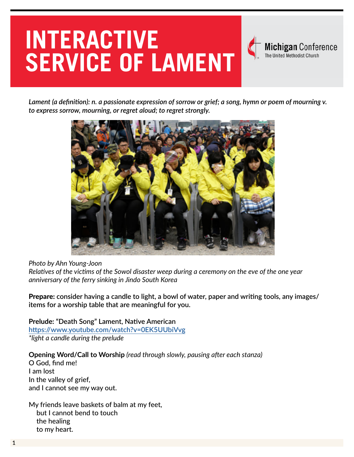# **INTERACTIVE SERVICE OF LAMENT**



*Lament (a definition): n. a passionate expression of sorrow or grief; a song, hymn or poem of mourning v. to express sorrow, mourning, or regret aloud; to regret strongly.*



#### *Photo by Ahn Young-Joon*

*Relatives of the victims of the Sowol disaster weep during a ceremony on the eve of the one year anniversary of the ferry sinking in Jindo South Korea*

Prepare: **consider having a candle to light, a bowl of water, paper and writing tools, any images/ items for a worship table that are meaningful for you.**

**Prelude: "Death Song" Lament, Native American <https://www.youtube.com/watch?v=0EK5UUbiVvg>** *\*light a candle during the prelude*

**Opening Word/Call to Worship** *(read through slowly, pausing after each stanza)*

O God, find me! I am lost In the valley of grief, and I cannot see my way out.

My friends leave baskets of balm at my feet, but I cannot bend to touch the healing to my heart.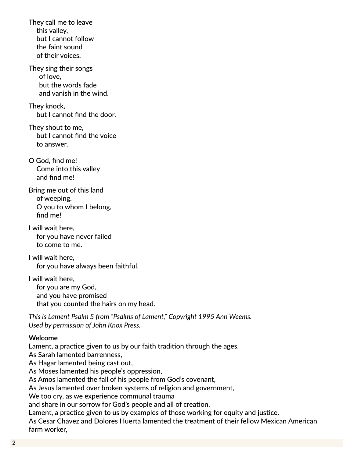They call me to leave this valley, but I cannot follow the faint sound of their voices.

They sing their songs of love, but the words fade and vanish in the wind.

They knock, but I cannot find the door.

They shout to me, but I cannot find the voice to answer.

O God, find me! Come into this valley and find me!

Bring me out of this land of weeping. O you to whom I belong, find me!

I will wait here, for you have never failed to come to me.

I will wait here, for you have always been faithful.

I will wait here, for you are my God, and you have promised that you counted the hairs on my head.

*This is Lament Psalm 5 from "Psalms of Lament," Copyright 1995 Ann Weems. Used by permission of John Knox Press.*

#### **Welcome**

Lament, a practice given to us by our faith tradition through the ages.

As Sarah lamented barrenness,

As Hagar lamented being cast out,

As Moses lamented his people's oppression,

As Amos lamented the fall of his people from God's covenant,

As Jesus lamented over broken systems of religion and government,

We too cry, as we experience communal trauma

and share in our sorrow for God's people and all of creation.

Lament, a practice given to us by examples of those working for equity and justice.

As Cesar Chavez and Dolores Huerta lamented the treatment of their fellow Mexican American farm worker,